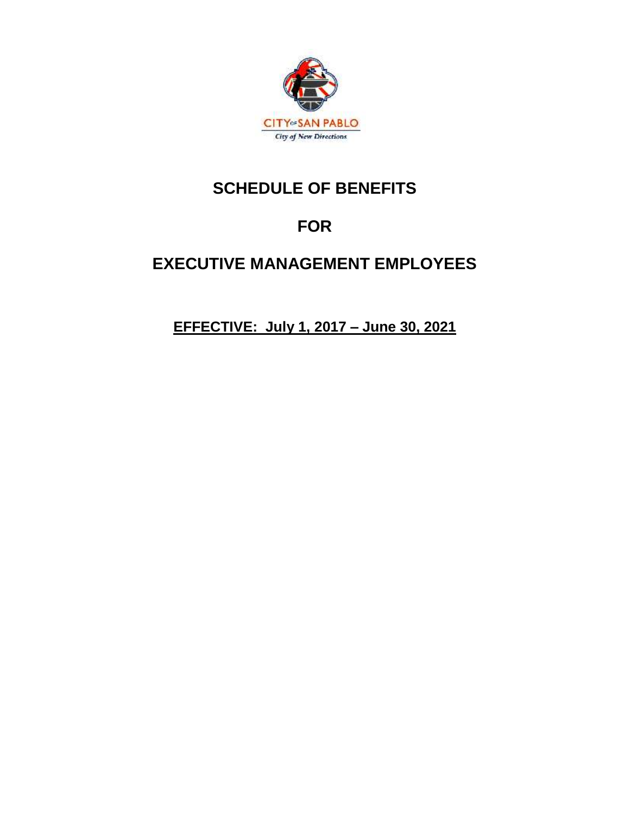

# **SCHEDULE OF BENEFITS**

# **FOR**

# **EXECUTIVE MANAGEMENT EMPLOYEES**

**EFFECTIVE: July 1, 2017 – June 30, 2021**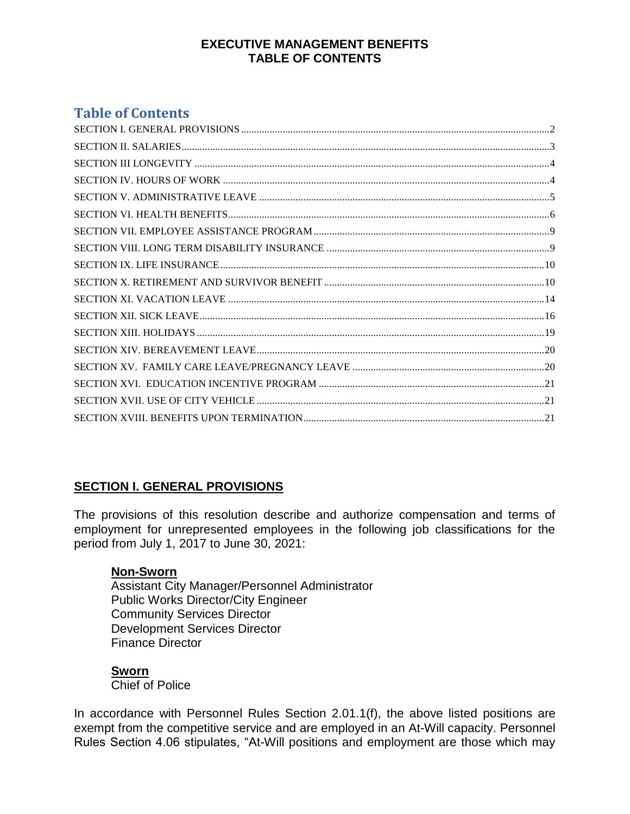## **EXECUTIVE MANAGEMENT BENEFITS TABLE OF CONTENTS**

# **Table of Contents**

# <span id="page-1-0"></span>**SECTION I. GENERAL PROVISIONS**

The provisions of this resolution describe and authorize compensation and terms of employment for unrepresented employees in the following job classifications for the period from July 1, 2017 to June 30, 2021:

## **Non-Sworn**

Assistant City Manager/Personnel Administrator Public Works Director/City Engineer Community Services Director Development Services Director Finance Director

## **Sworn**

Chief of Police

In accordance with Personnel Rules Section 2.01.1(f), the above listed positions are exempt from the competitive service and are employed in an At-Will capacity. Personnel Rules Section 4.06 stipulates, "At-Will positions and employment are those which may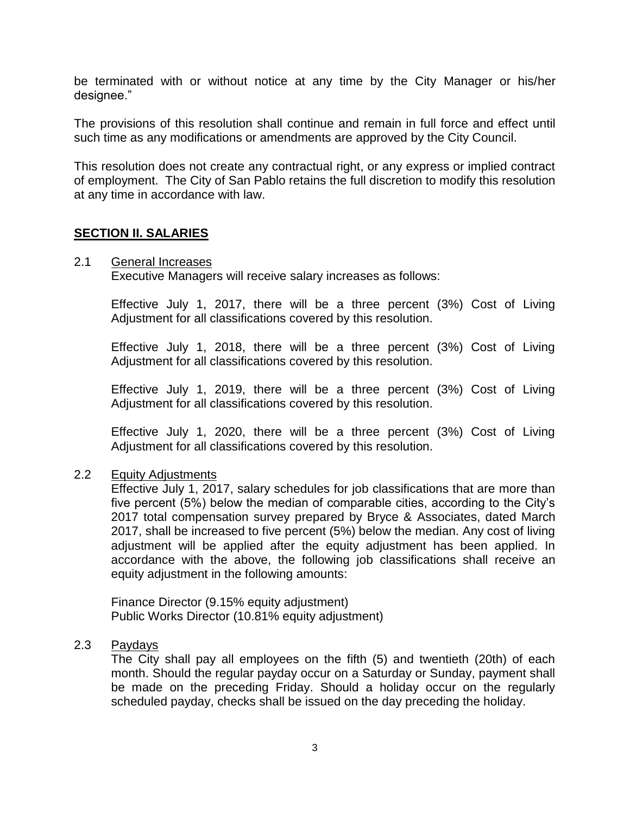be terminated with or without notice at any time by the City Manager or his/her designee."

The provisions of this resolution shall continue and remain in full force and effect until such time as any modifications or amendments are approved by the City Council.

This resolution does not create any contractual right, or any express or implied contract of employment. The City of San Pablo retains the full discretion to modify this resolution at any time in accordance with law.

## <span id="page-2-0"></span>**SECTION II. SALARIES**

#### 2.1 General Increases

Executive Managers will receive salary increases as follows:

Effective July 1, 2017, there will be a three percent (3%) Cost of Living Adjustment for all classifications covered by this resolution.

Effective July 1, 2018, there will be a three percent (3%) Cost of Living Adjustment for all classifications covered by this resolution.

Effective July 1, 2019, there will be a three percent (3%) Cost of Living Adjustment for all classifications covered by this resolution.

Effective July 1, 2020, there will be a three percent (3%) Cost of Living Adjustment for all classifications covered by this resolution.

#### 2.2 Equity Adjustments

Effective July 1, 2017, salary schedules for job classifications that are more than five percent (5%) below the median of comparable cities, according to the City's 2017 total compensation survey prepared by Bryce & Associates, dated March 2017, shall be increased to five percent (5%) below the median. Any cost of living adjustment will be applied after the equity adjustment has been applied. In accordance with the above, the following job classifications shall receive an equity adjustment in the following amounts:

Finance Director (9.15% equity adjustment) Public Works Director (10.81% equity adjustment)

### 2.3 Paydays

The City shall pay all employees on the fifth (5) and twentieth (20th) of each month. Should the regular payday occur on a Saturday or Sunday, payment shall be made on the preceding Friday. Should a holiday occur on the regularly scheduled payday, checks shall be issued on the day preceding the holiday.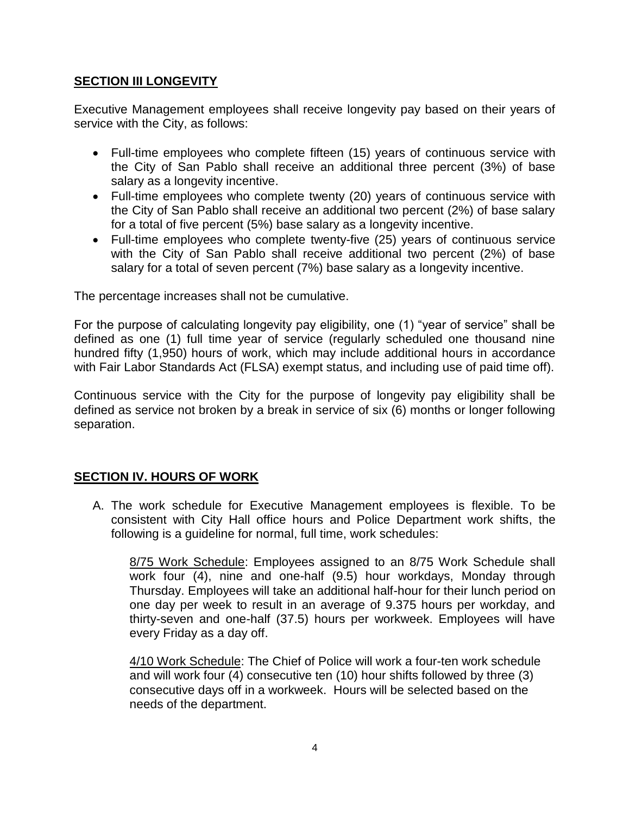## <span id="page-3-0"></span>**SECTION III LONGEVITY**

Executive Management employees shall receive longevity pay based on their years of service with the City, as follows:

- Full-time employees who complete fifteen (15) years of continuous service with the City of San Pablo shall receive an additional three percent (3%) of base salary as a longevity incentive.
- Full-time employees who complete twenty (20) years of continuous service with the City of San Pablo shall receive an additional two percent (2%) of base salary for a total of five percent (5%) base salary as a longevity incentive.
- Full-time employees who complete twenty-five (25) years of continuous service with the City of San Pablo shall receive additional two percent (2%) of base salary for a total of seven percent (7%) base salary as a longevity incentive.

The percentage increases shall not be cumulative.

For the purpose of calculating longevity pay eligibility, one (1) "year of service" shall be defined as one (1) full time year of service (regularly scheduled one thousand nine hundred fifty (1,950) hours of work, which may include additional hours in accordance with Fair Labor Standards Act (FLSA) exempt status, and including use of paid time off).

Continuous service with the City for the purpose of longevity pay eligibility shall be defined as service not broken by a break in service of six (6) months or longer following separation.

# <span id="page-3-1"></span>**SECTION IV. HOURS OF WORK**

A. The work schedule for Executive Management employees is flexible. To be consistent with City Hall office hours and Police Department work shifts, the following is a guideline for normal, full time, work schedules:

8/75 Work Schedule: Employees assigned to an 8/75 Work Schedule shall work four (4), nine and one-half (9.5) hour workdays, Monday through Thursday. Employees will take an additional half-hour for their lunch period on one day per week to result in an average of 9.375 hours per workday, and thirty-seven and one-half (37.5) hours per workweek. Employees will have every Friday as a day off.

4/10 Work Schedule: The Chief of Police will work a four-ten work schedule and will work four (4) consecutive ten (10) hour shifts followed by three (3) consecutive days off in a workweek. Hours will be selected based on the needs of the department.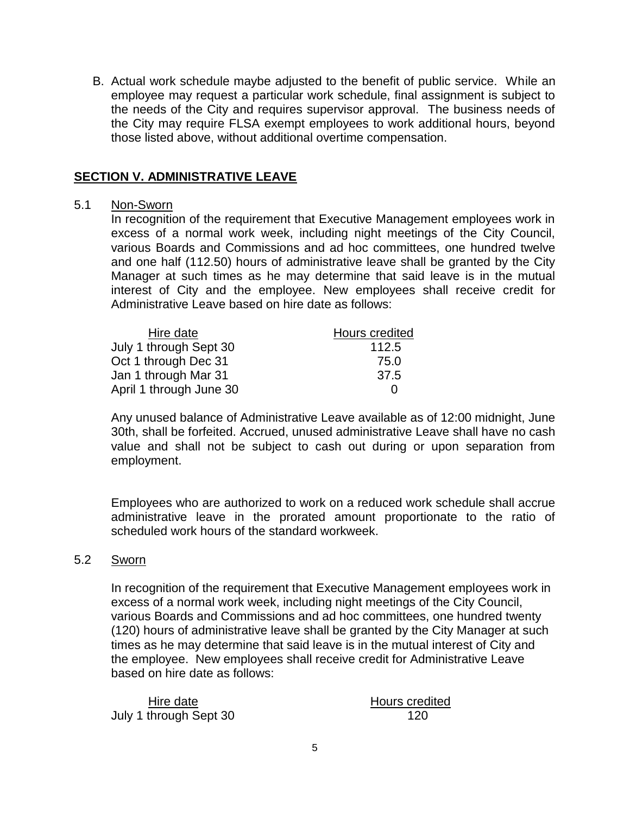B. Actual work schedule maybe adjusted to the benefit of public service. While an employee may request a particular work schedule, final assignment is subject to the needs of the City and requires supervisor approval. The business needs of the City may require FLSA exempt employees to work additional hours, beyond those listed above, without additional overtime compensation.

## <span id="page-4-0"></span>**SECTION V. ADMINISTRATIVE LEAVE**

## 5.1 Non-Sworn

In recognition of the requirement that Executive Management employees work in excess of a normal work week, including night meetings of the City Council, various Boards and Commissions and ad hoc committees, one hundred twelve and one half (112.50) hours of administrative leave shall be granted by the City Manager at such times as he may determine that said leave is in the mutual interest of City and the employee. New employees shall receive credit for Administrative Leave based on hire date as follows:

| Hire date               | Hours credited |
|-------------------------|----------------|
| July 1 through Sept 30  | 112.5          |
| Oct 1 through Dec 31    | 75.0           |
| Jan 1 through Mar 31    | 37.5           |
| April 1 through June 30 | $\Omega$       |

Any unused balance of Administrative Leave available as of 12:00 midnight, June 30th, shall be forfeited. Accrued, unused administrative Leave shall have no cash value and shall not be subject to cash out during or upon separation from employment.

Employees who are authorized to work on a reduced work schedule shall accrue administrative leave in the prorated amount proportionate to the ratio of scheduled work hours of the standard workweek.

#### 5.2 Sworn

In recognition of the requirement that Executive Management employees work in excess of a normal work week, including night meetings of the City Council, various Boards and Commissions and ad hoc committees, one hundred twenty (120) hours of administrative leave shall be granted by the City Manager at such times as he may determine that said leave is in the mutual interest of City and the employee. New employees shall receive credit for Administrative Leave based on hire date as follows:

| Hire date              | Hours cred |
|------------------------|------------|
| July 1 through Sept 30 | 120        |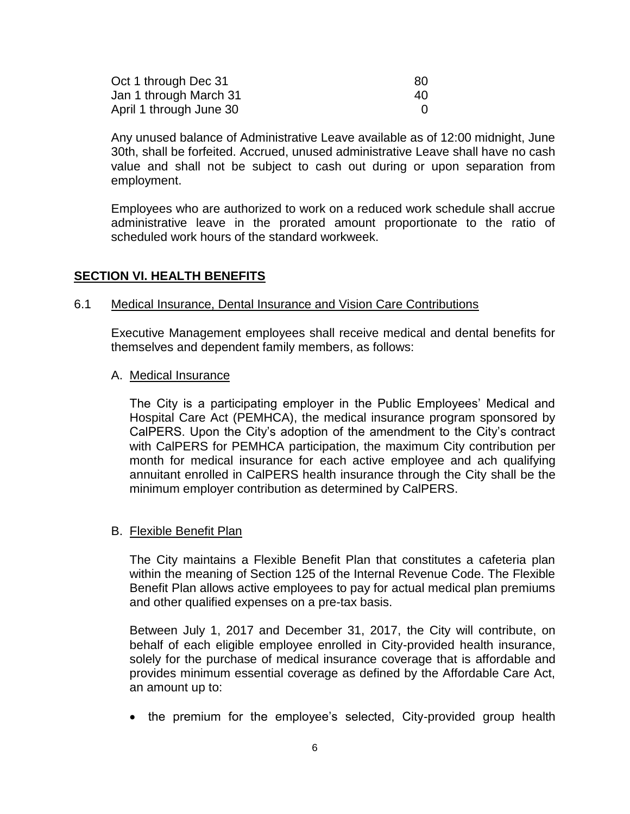| Oct 1 through Dec 31    | 80 |
|-------------------------|----|
| Jan 1 through March 31  | 40 |
| April 1 through June 30 |    |

Any unused balance of Administrative Leave available as of 12:00 midnight, June 30th, shall be forfeited. Accrued, unused administrative Leave shall have no cash value and shall not be subject to cash out during or upon separation from employment.

Employees who are authorized to work on a reduced work schedule shall accrue administrative leave in the prorated amount proportionate to the ratio of scheduled work hours of the standard workweek.

#### <span id="page-5-0"></span>**SECTION VI. HEALTH BENEFITS**

#### 6.1 Medical Insurance, Dental Insurance and Vision Care Contributions

Executive Management employees shall receive medical and dental benefits for themselves and dependent family members, as follows:

#### A. Medical Insurance

The City is a participating employer in the Public Employees' Medical and Hospital Care Act (PEMHCA), the medical insurance program sponsored by CalPERS. Upon the City's adoption of the amendment to the City's contract with CalPERS for PEMHCA participation, the maximum City contribution per month for medical insurance for each active employee and ach qualifying annuitant enrolled in CalPERS health insurance through the City shall be the minimum employer contribution as determined by CalPERS.

#### B. Flexible Benefit Plan

The City maintains a Flexible Benefit Plan that constitutes a cafeteria plan within the meaning of Section 125 of the Internal Revenue Code. The Flexible Benefit Plan allows active employees to pay for actual medical plan premiums and other qualified expenses on a pre-tax basis.

Between July 1, 2017 and December 31, 2017, the City will contribute, on behalf of each eligible employee enrolled in City-provided health insurance, solely for the purchase of medical insurance coverage that is affordable and provides minimum essential coverage as defined by the Affordable Care Act, an amount up to:

• the premium for the employee's selected, City-provided group health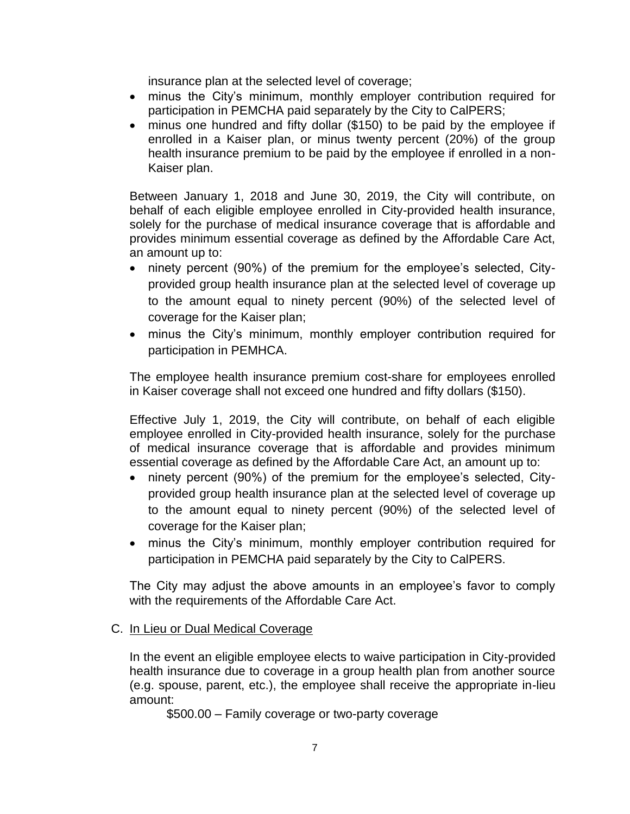insurance plan at the selected level of coverage;

- minus the City's minimum, monthly employer contribution required for participation in PEMCHA paid separately by the City to CalPERS;
- minus one hundred and fifty dollar (\$150) to be paid by the employee if enrolled in a Kaiser plan, or minus twenty percent (20%) of the group health insurance premium to be paid by the employee if enrolled in a non-Kaiser plan.

Between January 1, 2018 and June 30, 2019, the City will contribute, on behalf of each eligible employee enrolled in City-provided health insurance, solely for the purchase of medical insurance coverage that is affordable and provides minimum essential coverage as defined by the Affordable Care Act, an amount up to:

- ninety percent (90%) of the premium for the employee's selected, Cityprovided group health insurance plan at the selected level of coverage up to the amount equal to ninety percent (90%) of the selected level of coverage for the Kaiser plan;
- minus the City's minimum, monthly employer contribution required for participation in PEMHCA.

The employee health insurance premium cost-share for employees enrolled in Kaiser coverage shall not exceed one hundred and fifty dollars (\$150).

Effective July 1, 2019, the City will contribute, on behalf of each eligible employee enrolled in City-provided health insurance, solely for the purchase of medical insurance coverage that is affordable and provides minimum essential coverage as defined by the Affordable Care Act, an amount up to:

- ninety percent (90%) of the premium for the employee's selected, Cityprovided group health insurance plan at the selected level of coverage up to the amount equal to ninety percent (90%) of the selected level of coverage for the Kaiser plan;
- minus the City's minimum, monthly employer contribution required for participation in PEMCHA paid separately by the City to CalPERS.

The City may adjust the above amounts in an employee's favor to comply with the requirements of the Affordable Care Act.

## C. In Lieu or Dual Medical Coverage

In the event an eligible employee elects to waive participation in City-provided health insurance due to coverage in a group health plan from another source (e.g. spouse, parent, etc.), the employee shall receive the appropriate in-lieu amount:

\$500.00 – Family coverage or two-party coverage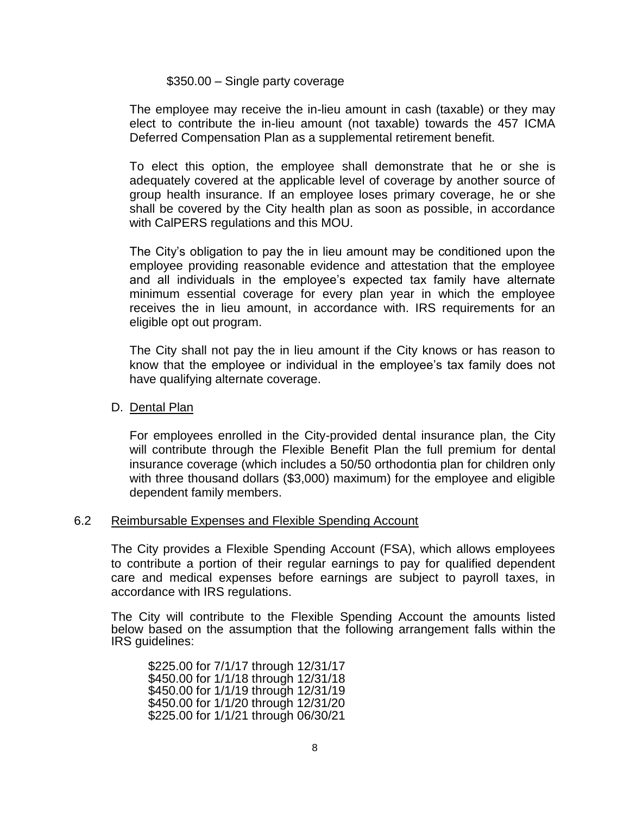#### \$350.00 – Single party coverage

The employee may receive the in-lieu amount in cash (taxable) or they may elect to contribute the in-lieu amount (not taxable) towards the 457 ICMA Deferred Compensation Plan as a supplemental retirement benefit.

To elect this option, the employee shall demonstrate that he or she is adequately covered at the applicable level of coverage by another source of group health insurance. If an employee loses primary coverage, he or she shall be covered by the City health plan as soon as possible, in accordance with CalPERS regulations and this MOU.

The City's obligation to pay the in lieu amount may be conditioned upon the employee providing reasonable evidence and attestation that the employee and all individuals in the employee's expected tax family have alternate minimum essential coverage for every plan year in which the employee receives the in lieu amount, in accordance with. IRS requirements for an eligible opt out program.

The City shall not pay the in lieu amount if the City knows or has reason to know that the employee or individual in the employee's tax family does not have qualifying alternate coverage.

### D. Dental Plan

For employees enrolled in the City-provided dental insurance plan, the City will contribute through the Flexible Benefit Plan the full premium for dental insurance coverage (which includes a 50/50 orthodontia plan for children only with three thousand dollars (\$3,000) maximum) for the employee and eligible dependent family members.

#### 6.2 Reimbursable Expenses and Flexible Spending Account

The City provides a Flexible Spending Account (FSA), which allows employees to contribute a portion of their regular earnings to pay for qualified dependent care and medical expenses before earnings are subject to payroll taxes, in accordance with IRS regulations.

The City will contribute to the Flexible Spending Account the amounts listed below based on the assumption that the following arrangement falls within the IRS guidelines:

\$225.00 for 7/1/17 through 12/31/17 \$450.00 for 1/1/18 through 12/31/18 \$450.00 for 1/1/19 through 12/31/19 \$450.00 for 1/1/20 through 12/31/20 \$225.00 for 1/1/21 through 06/30/21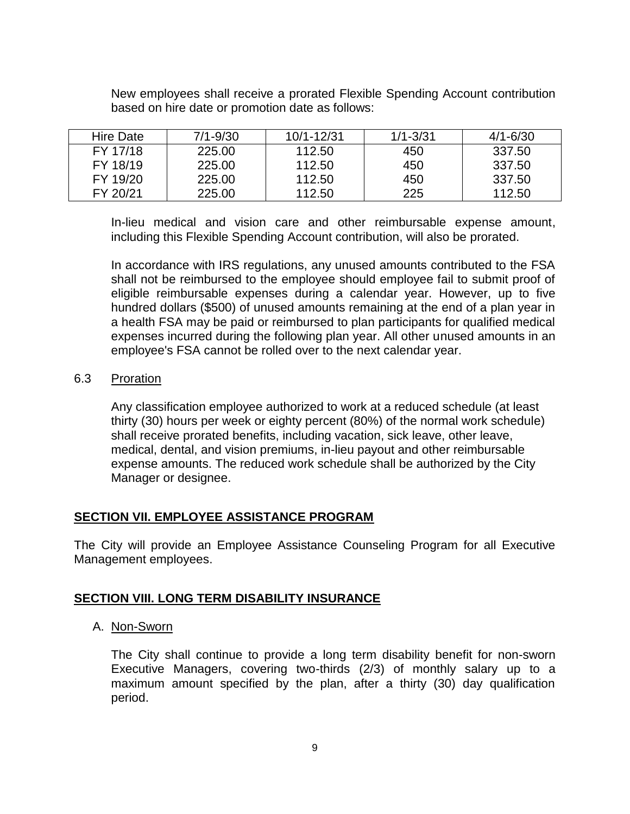| <b>Hire Date</b> | $7/1 - 9/30$ | 10/1-12/31 | $1/1 - 3/31$ | $4/1 - 6/30$ |
|------------------|--------------|------------|--------------|--------------|
| FY 17/18         | 225.00       | 112.50     | 450          | 337.50       |
| FY 18/19         | 225.00       | 112.50     | 450          | 337.50       |
| FY 19/20         | 225.00       | 112.50     | 450          | 337.50       |
| FY 20/21         | 225.00       | 112.50     | 225          | 112.50       |

New employees shall receive a prorated Flexible Spending Account contribution based on hire date or promotion date as follows:

In-lieu medical and vision care and other reimbursable expense amount, including this Flexible Spending Account contribution, will also be prorated.

In accordance with IRS regulations, any unused amounts contributed to the FSA shall not be reimbursed to the employee should employee fail to submit proof of eligible reimbursable expenses during a calendar year. However, up to five hundred dollars (\$500) of unused amounts remaining at the end of a plan year in a health FSA may be paid or reimbursed to plan participants for qualified medical expenses incurred during the following plan year. All other unused amounts in an employee's FSA cannot be rolled over to the next calendar year.

## <span id="page-8-0"></span>6.3 Proration

Any classification employee authorized to work at a reduced schedule (at least thirty (30) hours per week or eighty percent (80%) of the normal work schedule) shall receive prorated benefits, including vacation, sick leave, other leave, medical, dental, and vision premiums, in-lieu payout and other reimbursable expense amounts. The reduced work schedule shall be authorized by the City Manager or designee.

# **SECTION VII. EMPLOYEE ASSISTANCE PROGRAM**

The City will provide an Employee Assistance Counseling Program for all Executive Management employees.

# <span id="page-8-1"></span>**SECTION VIII. LONG TERM DISABILITY INSURANCE**

## A. Non-Sworn

The City shall continue to provide a long term disability benefit for non-sworn Executive Managers, covering two-thirds (2/3) of monthly salary up to a maximum amount specified by the plan, after a thirty (30) day qualification period.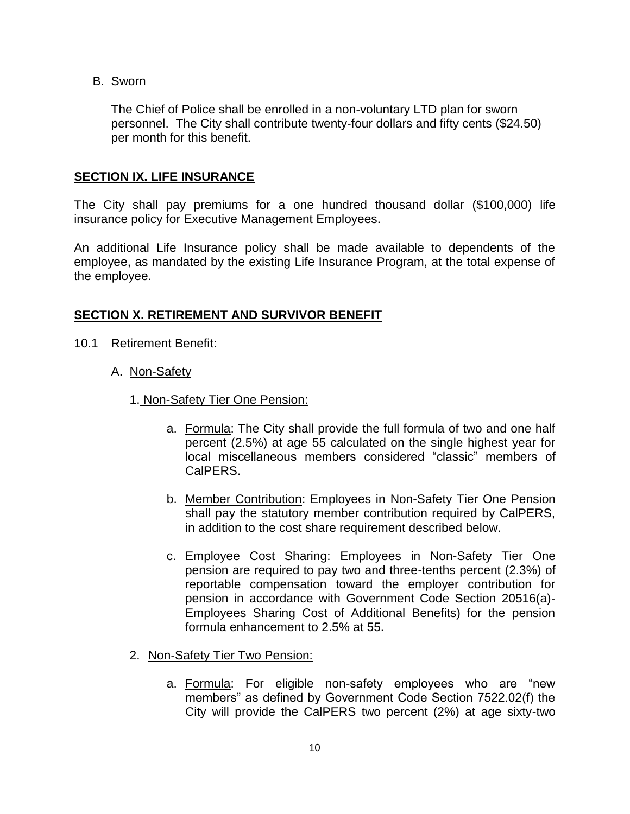B. Sworn

The Chief of Police shall be enrolled in a non-voluntary LTD plan for sworn personnel. The City shall contribute twenty-four dollars and fifty cents (\$24.50) per month for this benefit.

## <span id="page-9-0"></span>**SECTION IX. LIFE INSURANCE**

The City shall pay premiums for a one hundred thousand dollar (\$100,000) life insurance policy for Executive Management Employees.

An additional Life Insurance policy shall be made available to dependents of the employee, as mandated by the existing Life Insurance Program, at the total expense of the employee.

## <span id="page-9-1"></span>**SECTION X. RETIREMENT AND SURVIVOR BENEFIT**

- 10.1 Retirement Benefit:
	- A. Non-Safety
		- 1. Non-Safety Tier One Pension:
			- a. Formula: The City shall provide the full formula of two and one half percent (2.5%) at age 55 calculated on the single highest year for local miscellaneous members considered "classic" members of CalPERS.
			- b. Member Contribution: Employees in Non-Safety Tier One Pension shall pay the statutory member contribution required by CalPERS, in addition to the cost share requirement described below.
			- c. Employee Cost Sharing: Employees in Non-Safety Tier One pension are required to pay two and three-tenths percent (2.3%) of reportable compensation toward the employer contribution for pension in accordance with Government Code Section 20516(a)- Employees Sharing Cost of Additional Benefits) for the pension formula enhancement to 2.5% at 55.
		- 2. Non-Safety Tier Two Pension:
			- a. Formula: For eligible non-safety employees who are "new members" as defined by Government Code Section 7522.02(f) the City will provide the CalPERS two percent (2%) at age sixty-two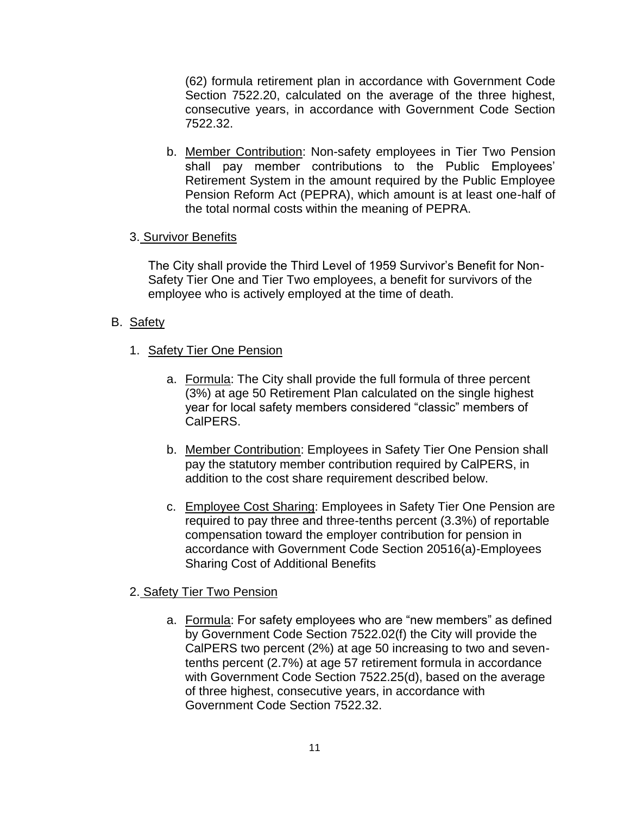(62) formula retirement plan in accordance with Government Code Section 7522.20, calculated on the average of the three highest, consecutive years, in accordance with Government Code Section 7522.32.

b. Member Contribution: Non-safety employees in Tier Two Pension shall pay member contributions to the Public Employees' Retirement System in the amount required by the Public Employee Pension Reform Act (PEPRA), which amount is at least one-half of the total normal costs within the meaning of PEPRA.

## 3. Survivor Benefits

The City shall provide the Third Level of 1959 Survivor's Benefit for Non-Safety Tier One and Tier Two employees, a benefit for survivors of the employee who is actively employed at the time of death.

## B. Safety

- 1. Safety Tier One Pension
	- a. Formula: The City shall provide the full formula of three percent (3%) at age 50 Retirement Plan calculated on the single highest year for local safety members considered "classic" members of CalPERS.
	- b. Member Contribution: Employees in Safety Tier One Pension shall pay the statutory member contribution required by CalPERS, in addition to the cost share requirement described below.
	- c. Employee Cost Sharing: Employees in Safety Tier One Pension are required to pay three and three-tenths percent (3.3%) of reportable compensation toward the employer contribution for pension in accordance with Government Code Section 20516(a)-Employees Sharing Cost of Additional Benefits

# 2. Safety Tier Two Pension

a. Formula: For safety employees who are "new members" as defined by Government Code Section 7522.02(f) the City will provide the CalPERS two percent (2%) at age 50 increasing to two and seventenths percent (2.7%) at age 57 retirement formula in accordance with Government Code Section 7522.25(d), based on the average of three highest, consecutive years, in accordance with Government Code Section 7522.32.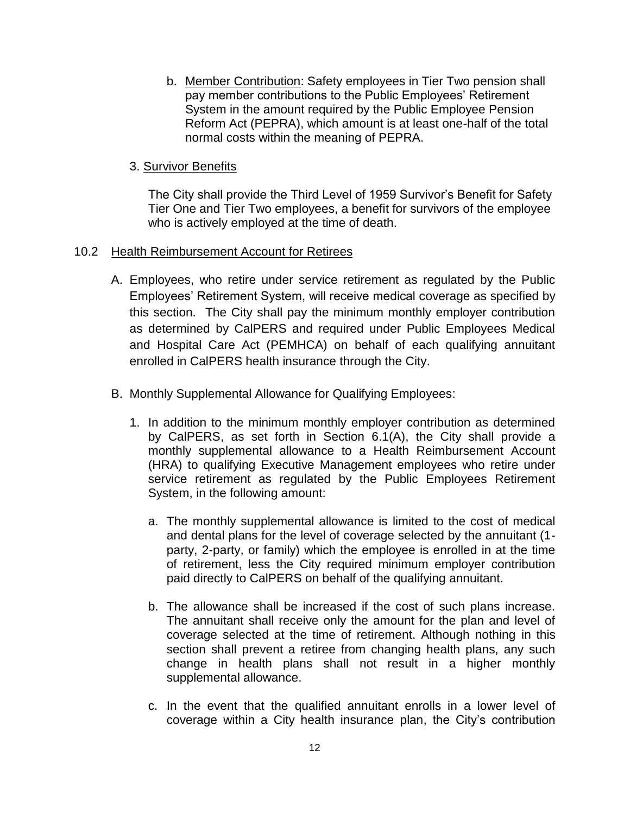b. Member Contribution: Safety employees in Tier Two pension shall pay member contributions to the Public Employees' Retirement System in the amount required by the Public Employee Pension Reform Act (PEPRA), which amount is at least one-half of the total normal costs within the meaning of PEPRA.

## 3. Survivor Benefits

The City shall provide the Third Level of 1959 Survivor's Benefit for Safety Tier One and Tier Two employees, a benefit for survivors of the employee who is actively employed at the time of death.

## 10.2 Health Reimbursement Account for Retirees

- A. Employees, who retire under service retirement as regulated by the Public Employees' Retirement System, will receive medical coverage as specified by this section. The City shall pay the minimum monthly employer contribution as determined by CalPERS and required under Public Employees Medical and Hospital Care Act (PEMHCA) on behalf of each qualifying annuitant enrolled in CalPERS health insurance through the City.
- B. Monthly Supplemental Allowance for Qualifying Employees:
	- 1. In addition to the minimum monthly employer contribution as determined by CalPERS, as set forth in Section 6.1(A), the City shall provide a monthly supplemental allowance to a Health Reimbursement Account (HRA) to qualifying Executive Management employees who retire under service retirement as regulated by the Public Employees Retirement System, in the following amount:
		- a. The monthly supplemental allowance is limited to the cost of medical and dental plans for the level of coverage selected by the annuitant (1 party, 2-party, or family) which the employee is enrolled in at the time of retirement, less the City required minimum employer contribution paid directly to CalPERS on behalf of the qualifying annuitant.
		- b. The allowance shall be increased if the cost of such plans increase. The annuitant shall receive only the amount for the plan and level of coverage selected at the time of retirement. Although nothing in this section shall prevent a retiree from changing health plans, any such change in health plans shall not result in a higher monthly supplemental allowance.
		- c. In the event that the qualified annuitant enrolls in a lower level of coverage within a City health insurance plan, the City's contribution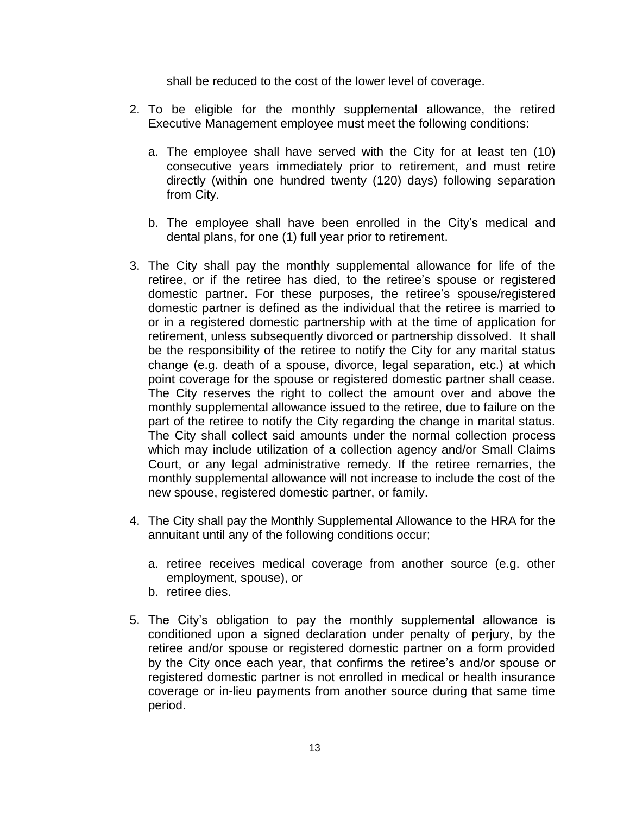shall be reduced to the cost of the lower level of coverage.

- 2. To be eligible for the monthly supplemental allowance, the retired Executive Management employee must meet the following conditions:
	- a. The employee shall have served with the City for at least ten (10) consecutive years immediately prior to retirement, and must retire directly (within one hundred twenty (120) days) following separation from City.
	- b. The employee shall have been enrolled in the City's medical and dental plans, for one (1) full year prior to retirement.
- 3. The City shall pay the monthly supplemental allowance for life of the retiree, or if the retiree has died, to the retiree's spouse or registered domestic partner. For these purposes, the retiree's spouse/registered domestic partner is defined as the individual that the retiree is married to or in a registered domestic partnership with at the time of application for retirement, unless subsequently divorced or partnership dissolved. It shall be the responsibility of the retiree to notify the City for any marital status change (e.g. death of a spouse, divorce, legal separation, etc.) at which point coverage for the spouse or registered domestic partner shall cease. The City reserves the right to collect the amount over and above the monthly supplemental allowance issued to the retiree, due to failure on the part of the retiree to notify the City regarding the change in marital status. The City shall collect said amounts under the normal collection process which may include utilization of a collection agency and/or Small Claims Court, or any legal administrative remedy. If the retiree remarries, the monthly supplemental allowance will not increase to include the cost of the new spouse, registered domestic partner, or family.
- 4. The City shall pay the Monthly Supplemental Allowance to the HRA for the annuitant until any of the following conditions occur;
	- a. retiree receives medical coverage from another source (e.g. other employment, spouse), or
	- b. retiree dies.
- 5. The City's obligation to pay the monthly supplemental allowance is conditioned upon a signed declaration under penalty of perjury, by the retiree and/or spouse or registered domestic partner on a form provided by the City once each year, that confirms the retiree's and/or spouse or registered domestic partner is not enrolled in medical or health insurance coverage or in-lieu payments from another source during that same time period.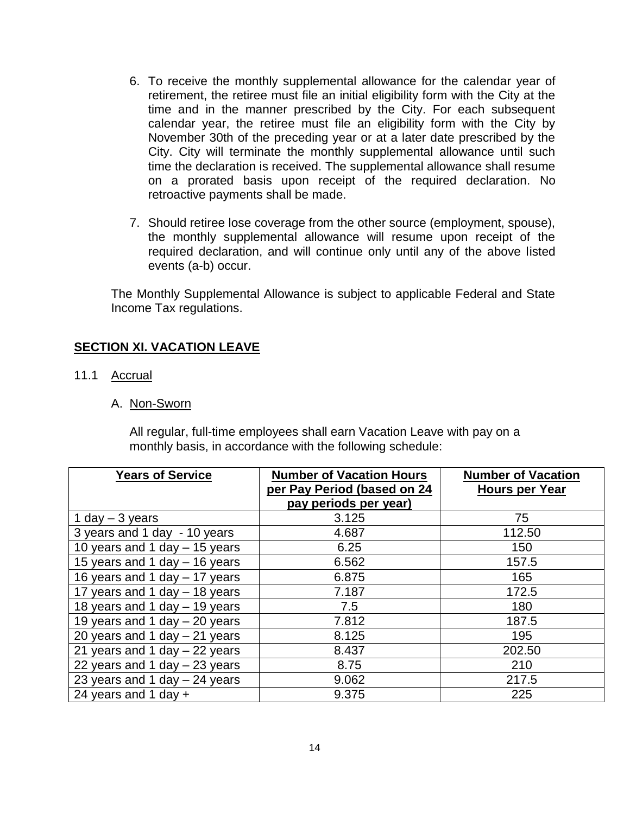- 6. To receive the monthly supplemental allowance for the calendar year of retirement, the retiree must file an initial eligibility form with the City at the time and in the manner prescribed by the City. For each subsequent calendar year, the retiree must file an eligibility form with the City by November 30th of the preceding year or at a later date prescribed by the City. City will terminate the monthly supplemental allowance until such time the declaration is received. The supplemental allowance shall resume on a prorated basis upon receipt of the required declaration. No retroactive payments shall be made.
- 7. Should retiree lose coverage from the other source (employment, spouse), the monthly supplemental allowance will resume upon receipt of the required declaration, and will continue only until any of the above listed events (a-b) occur.

The Monthly Supplemental Allowance is subject to applicable Federal and State Income Tax regulations.

## <span id="page-13-0"></span>**SECTION XI. VACATION LEAVE**

- 11.1 Accrual
	- A. Non-Sworn

All regular, full-time employees shall earn Vacation Leave with pay on a monthly basis, in accordance with the following schedule:

| <b>Years of Service</b>         | <b>Number of Vacation Hours</b><br>per Pay Period (based on 24<br>pay periods per year) | <b>Number of Vacation</b><br><b>Hours per Year</b> |
|---------------------------------|-----------------------------------------------------------------------------------------|----------------------------------------------------|
| 1 day $-$ 3 years               | 3.125                                                                                   | 75                                                 |
| 3 years and 1 day - 10 years    | 4.687                                                                                   | 112.50                                             |
| 10 years and 1 day - 15 years   | 6.25                                                                                    | 150                                                |
| 15 years and 1 day - 16 years   | 6.562                                                                                   | 157.5                                              |
| 16 years and 1 day - 17 years   | 6.875                                                                                   | 165                                                |
| 17 years and 1 day - 18 years   | 7.187                                                                                   | 172.5                                              |
| 18 years and 1 day - 19 years   | 7.5                                                                                     | 180                                                |
| 19 years and 1 day $-$ 20 years | 7.812                                                                                   | 187.5                                              |
| 20 years and 1 day $-$ 21 years | 8.125                                                                                   | 195                                                |
| 21 years and 1 day $-$ 22 years | 8.437                                                                                   | 202.50                                             |
| 22 years and 1 day $-$ 23 years | 8.75                                                                                    | 210                                                |
| 23 years and 1 day - 24 years   | 9.062                                                                                   | 217.5                                              |
| 24 years and 1 day $+$          | 9.375                                                                                   | 225                                                |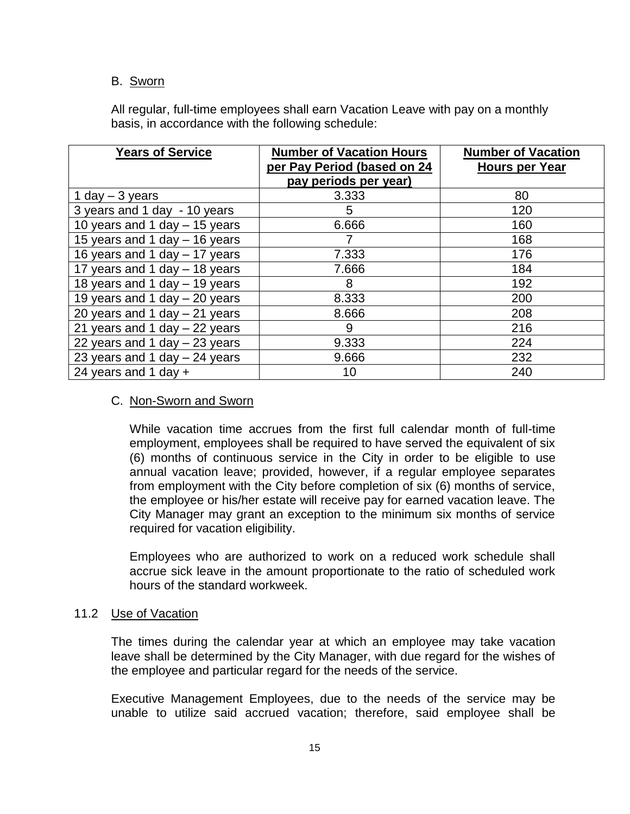### B. Sworn

All regular, full-time employees shall earn Vacation Leave with pay on a monthly basis, in accordance with the following schedule:

| <b>Years of Service</b>         | <b>Number of Vacation Hours</b><br>per Pay Period (based on 24<br>pay periods per year) | <b>Number of Vacation</b><br><b>Hours per Year</b> |
|---------------------------------|-----------------------------------------------------------------------------------------|----------------------------------------------------|
| 1 day $-$ 3 years               | 3.333                                                                                   | 80                                                 |
| 3 years and 1 day - 10 years    | 5                                                                                       | 120                                                |
| 10 years and 1 day - 15 years   | 6.666                                                                                   | 160                                                |
| 15 years and 1 day - 16 years   |                                                                                         | 168                                                |
| 16 years and 1 day - 17 years   | 7.333                                                                                   | 176                                                |
| 17 years and 1 day - 18 years   | 7.666                                                                                   | 184                                                |
| 18 years and 1 day - 19 years   | 8                                                                                       | 192                                                |
| 19 years and 1 day $-$ 20 years | 8.333                                                                                   | 200                                                |
| 20 years and 1 day $-$ 21 years | 8.666                                                                                   | 208                                                |
| 21 years and 1 day $-$ 22 years | 9                                                                                       | 216                                                |
| 22 years and 1 day $-$ 23 years | 9.333                                                                                   | 224                                                |
| 23 years and 1 day $-$ 24 years | 9.666                                                                                   | 232                                                |
| 24 years and 1 day $+$          | 10                                                                                      | 240                                                |

### C. Non-Sworn and Sworn

While vacation time accrues from the first full calendar month of full-time employment, employees shall be required to have served the equivalent of six (6) months of continuous service in the City in order to be eligible to use annual vacation leave; provided, however, if a regular employee separates from employment with the City before completion of six (6) months of service, the employee or his/her estate will receive pay for earned vacation leave. The City Manager may grant an exception to the minimum six months of service required for vacation eligibility.

Employees who are authorized to work on a reduced work schedule shall accrue sick leave in the amount proportionate to the ratio of scheduled work hours of the standard workweek.

#### 11.2 Use of Vacation

The times during the calendar year at which an employee may take vacation leave shall be determined by the City Manager, with due regard for the wishes of the employee and particular regard for the needs of the service.

Executive Management Employees, due to the needs of the service may be unable to utilize said accrued vacation; therefore, said employee shall be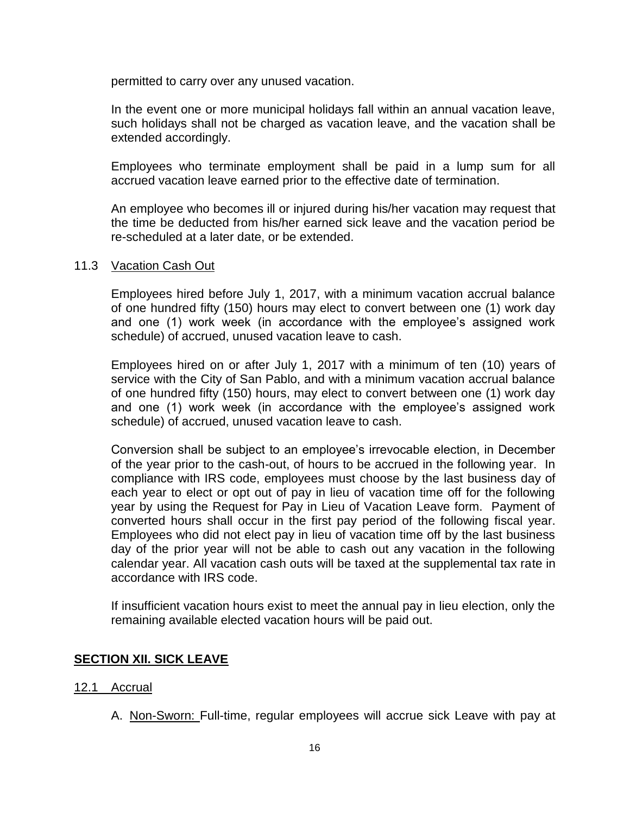permitted to carry over any unused vacation.

In the event one or more municipal holidays fall within an annual vacation leave, such holidays shall not be charged as vacation leave, and the vacation shall be extended accordingly.

Employees who terminate employment shall be paid in a lump sum for all accrued vacation leave earned prior to the effective date of termination.

An employee who becomes ill or injured during his/her vacation may request that the time be deducted from his/her earned sick leave and the vacation period be re-scheduled at a later date, or be extended.

#### 11.3 Vacation Cash Out

Employees hired before July 1, 2017, with a minimum vacation accrual balance of one hundred fifty (150) hours may elect to convert between one (1) work day and one (1) work week (in accordance with the employee's assigned work schedule) of accrued, unused vacation leave to cash.

Employees hired on or after July 1, 2017 with a minimum of ten (10) years of service with the City of San Pablo, and with a minimum vacation accrual balance of one hundred fifty (150) hours, may elect to convert between one (1) work day and one (1) work week (in accordance with the employee's assigned work schedule) of accrued, unused vacation leave to cash.

Conversion shall be subject to an employee's irrevocable election, in December of the year prior to the cash-out, of hours to be accrued in the following year. In compliance with IRS code, employees must choose by the last business day of each year to elect or opt out of pay in lieu of vacation time off for the following year by using the Request for Pay in Lieu of Vacation Leave form. Payment of converted hours shall occur in the first pay period of the following fiscal year. Employees who did not elect pay in lieu of vacation time off by the last business day of the prior year will not be able to cash out any vacation in the following calendar year. All vacation cash outs will be taxed at the supplemental tax rate in accordance with IRS code.

If insufficient vacation hours exist to meet the annual pay in lieu election, only the remaining available elected vacation hours will be paid out.

## <span id="page-15-0"></span>**SECTION XII. SICK LEAVE**

#### 12.1 Accrual

A. Non-Sworn: Full-time, regular employees will accrue sick Leave with pay at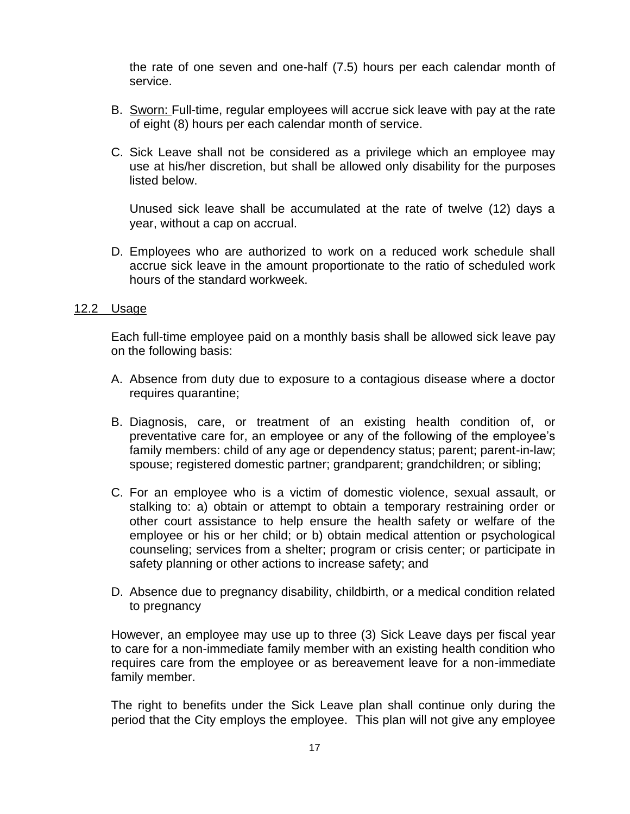the rate of one seven and one-half (7.5) hours per each calendar month of service.

- B. Sworn: Full-time, regular employees will accrue sick leave with pay at the rate of eight (8) hours per each calendar month of service.
- C. Sick Leave shall not be considered as a privilege which an employee may use at his/her discretion, but shall be allowed only disability for the purposes listed below.

Unused sick leave shall be accumulated at the rate of twelve (12) days a year, without a cap on accrual.

D. Employees who are authorized to work on a reduced work schedule shall accrue sick leave in the amount proportionate to the ratio of scheduled work hours of the standard workweek.

#### 12.2 Usage

Each full-time employee paid on a monthly basis shall be allowed sick leave pay on the following basis:

- A. Absence from duty due to exposure to a contagious disease where a doctor requires quarantine;
- B. Diagnosis, care, or treatment of an existing health condition of, or preventative care for, an employee or any of the following of the employee's family members: child of any age or dependency status; parent; parent-in-law; spouse; registered domestic partner; grandparent; grandchildren; or sibling;
- C. For an employee who is a victim of domestic violence, sexual assault, or stalking to: a) obtain or attempt to obtain a temporary restraining order or other court assistance to help ensure the health safety or welfare of the employee or his or her child; or b) obtain medical attention or psychological counseling; services from a shelter; program or crisis center; or participate in safety planning or other actions to increase safety; and
- D. Absence due to pregnancy disability, childbirth, or a medical condition related to pregnancy

However, an employee may use up to three (3) Sick Leave days per fiscal year to care for a non-immediate family member with an existing health condition who requires care from the employee or as bereavement leave for a non-immediate family member.

The right to benefits under the Sick Leave plan shall continue only during the period that the City employs the employee. This plan will not give any employee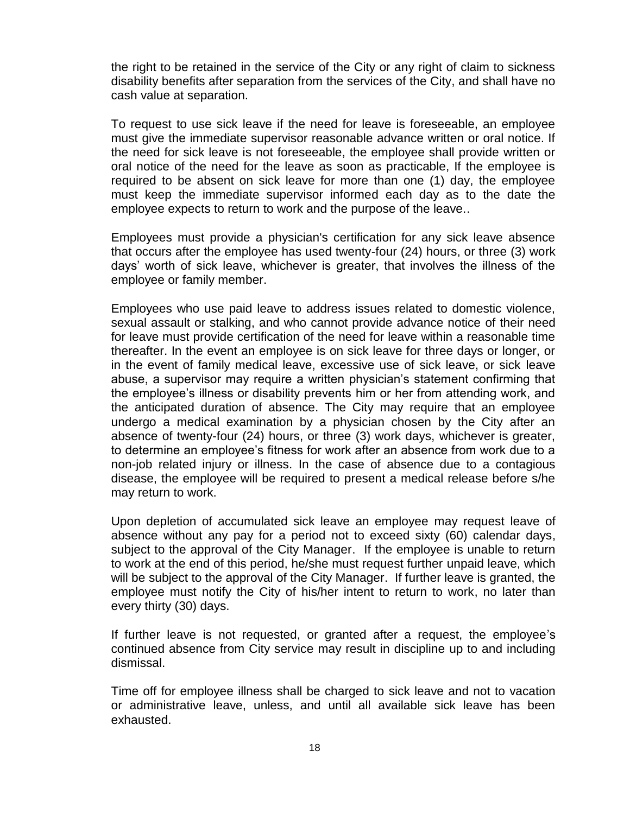the right to be retained in the service of the City or any right of claim to sickness disability benefits after separation from the services of the City, and shall have no cash value at separation.

To request to use sick leave if the need for leave is foreseeable, an employee must give the immediate supervisor reasonable advance written or oral notice. If the need for sick leave is not foreseeable, the employee shall provide written or oral notice of the need for the leave as soon as practicable, If the employee is required to be absent on sick leave for more than one (1) day, the employee must keep the immediate supervisor informed each day as to the date the employee expects to return to work and the purpose of the leave..

Employees must provide a physician's certification for any sick leave absence that occurs after the employee has used twenty-four (24) hours, or three (3) work days' worth of sick leave, whichever is greater, that involves the illness of the employee or family member.

Employees who use paid leave to address issues related to domestic violence, sexual assault or stalking, and who cannot provide advance notice of their need for leave must provide certification of the need for leave within a reasonable time thereafter. In the event an employee is on sick leave for three days or longer, or in the event of family medical leave, excessive use of sick leave, or sick leave abuse, a supervisor may require a written physician's statement confirming that the employee's illness or disability prevents him or her from attending work, and the anticipated duration of absence. The City may require that an employee undergo a medical examination by a physician chosen by the City after an absence of twenty-four (24) hours, or three (3) work days, whichever is greater, to determine an employee's fitness for work after an absence from work due to a non-job related injury or illness. In the case of absence due to a contagious disease, the employee will be required to present a medical release before s/he may return to work.

Upon depletion of accumulated sick leave an employee may request leave of absence without any pay for a period not to exceed sixty (60) calendar days, subject to the approval of the City Manager. If the employee is unable to return to work at the end of this period, he/she must request further unpaid leave, which will be subject to the approval of the City Manager. If further leave is granted, the employee must notify the City of his/her intent to return to work, no later than every thirty (30) days.

If further leave is not requested, or granted after a request, the employee's continued absence from City service may result in discipline up to and including dismissal.

Time off for employee illness shall be charged to sick leave and not to vacation or administrative leave, unless, and until all available sick leave has been exhausted.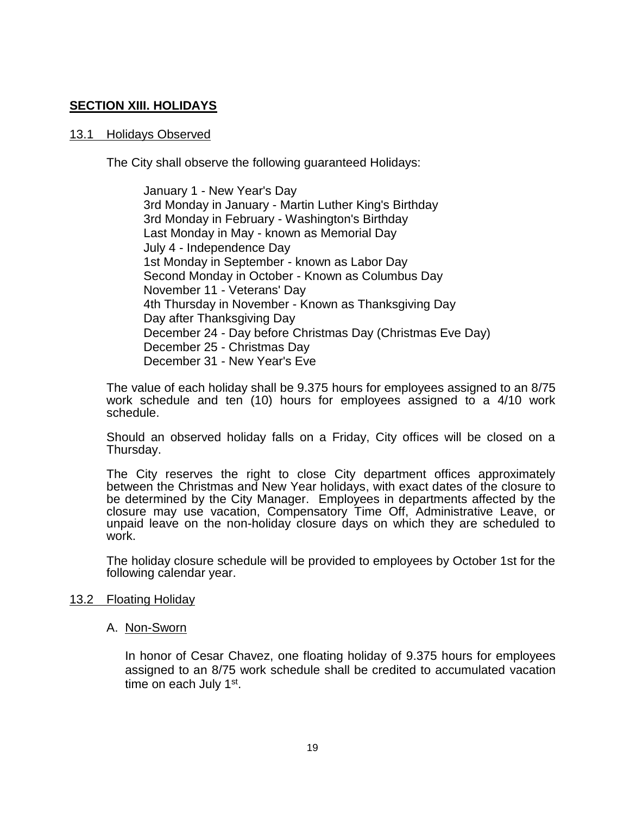## <span id="page-18-0"></span>**SECTION XIII. HOLIDAYS**

#### 13.1 Holidays Observed

The City shall observe the following guaranteed Holidays:

January 1 - New Year's Day 3rd Monday in January - Martin Luther King's Birthday 3rd Monday in February - Washington's Birthday Last Monday in May - known as Memorial Day July 4 - Independence Day 1st Monday in September - known as Labor Day Second Monday in October - Known as Columbus Day November 11 - Veterans' Day 4th Thursday in November - Known as Thanksgiving Day Day after Thanksgiving Day December 24 - Day before Christmas Day (Christmas Eve Day) December 25 - Christmas Day December 31 - New Year's Eve

The value of each holiday shall be 9.375 hours for employees assigned to an 8/75 work schedule and ten (10) hours for employees assigned to a 4/10 work schedule.

Should an observed holiday falls on a Friday, City offices will be closed on a Thursday.

The City reserves the right to close City department offices approximately between the Christmas and New Year holidays, with exact dates of the closure to be determined by the City Manager. Employees in departments affected by the closure may use vacation, Compensatory Time Off, Administrative Leave, or unpaid leave on the non-holiday closure days on which they are scheduled to work.

The holiday closure schedule will be provided to employees by October 1st for the following calendar year.

#### 13.2 Floating Holiday

#### A. Non-Sworn

In honor of Cesar Chavez, one floating holiday of 9.375 hours for employees assigned to an 8/75 work schedule shall be credited to accumulated vacation time on each July 1<sup>st</sup>.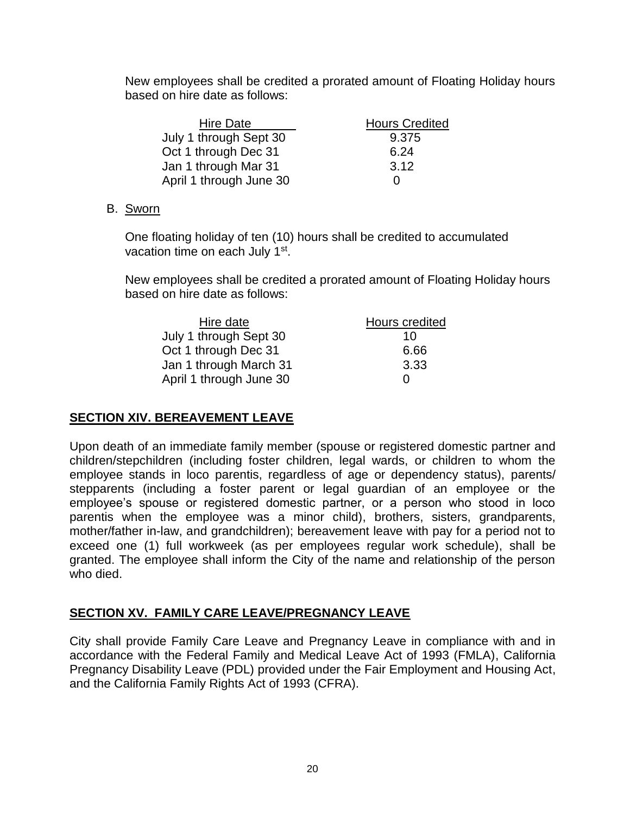New employees shall be credited a prorated amount of Floating Holiday hours based on hire date as follows:

| <b>Hire Date</b>        | <b>Hours Credited</b> |
|-------------------------|-----------------------|
| July 1 through Sept 30  | 9.375                 |
| Oct 1 through Dec 31    | 6.24                  |
| Jan 1 through Mar 31    | 3.12                  |
| April 1 through June 30 | $\mathbf{0}$          |

## B. Sworn

One floating holiday of ten (10) hours shall be credited to accumulated vacation time on each July 1<sup>st</sup>.

New employees shall be credited a prorated amount of Floating Holiday hours based on hire date as follows:

| Hire date               | Hours credited |
|-------------------------|----------------|
| July 1 through Sept 30  | 10             |
| Oct 1 through Dec 31    | 6.66           |
| Jan 1 through March 31  | 3.33           |
| April 1 through June 30 | $\mathbf{0}$   |

# <span id="page-19-0"></span>**SECTION XIV. BEREAVEMENT LEAVE**

Upon death of an immediate family member (spouse or registered domestic partner and children/stepchildren (including foster children, legal wards, or children to whom the employee stands in loco parentis, regardless of age or dependency status), parents/ stepparents (including a foster parent or legal guardian of an employee or the employee's spouse or registered domestic partner, or a person who stood in loco parentis when the employee was a minor child), brothers, sisters, grandparents, mother/father in-law, and grandchildren); bereavement leave with pay for a period not to exceed one (1) full workweek (as per employees regular work schedule), shall be granted. The employee shall inform the City of the name and relationship of the person who died.

# <span id="page-19-1"></span>**SECTION XV. FAMILY CARE LEAVE/PREGNANCY LEAVE**

City shall provide Family Care Leave and Pregnancy Leave in compliance with and in accordance with the Federal Family and Medical Leave Act of 1993 (FMLA), California Pregnancy Disability Leave (PDL) provided under the Fair Employment and Housing Act, and the California Family Rights Act of 1993 (CFRA).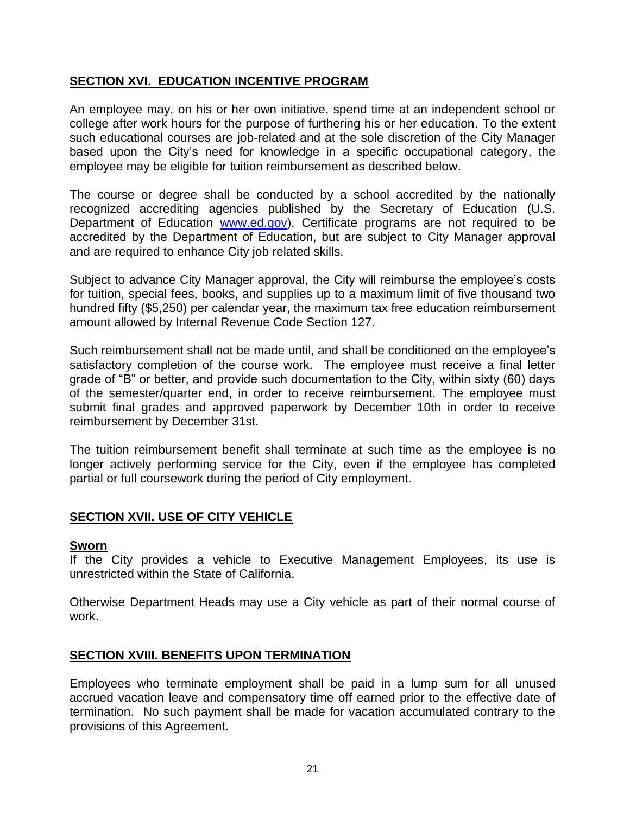## <span id="page-20-0"></span>**SECTION XVI. EDUCATION INCENTIVE PROGRAM**

An employee may, on his or her own initiative, spend time at an independent school or college after work hours for the purpose of furthering his or her education. To the extent such educational courses are job-related and at the sole discretion of the City Manager based upon the City's need for knowledge in a specific occupational category, the employee may be eligible for tuition reimbursement as described below.

The course or degree shall be conducted by a school accredited by the nationally recognized accrediting agencies published by the Secretary of Education (U.S. Department of Education [www.ed.gov\)](http://www.ed.gov/). Certificate programs are not required to be accredited by the Department of Education, but are subject to City Manager approval and are required to enhance City job related skills.

Subject to advance City Manager approval, the City will reimburse the employee's costs for tuition, special fees, books, and supplies up to a maximum limit of five thousand two hundred fifty (\$5,250) per calendar year, the maximum tax free education reimbursement amount allowed by Internal Revenue Code Section 127.

Such reimbursement shall not be made until, and shall be conditioned on the employee's satisfactory completion of the course work. The employee must receive a final letter grade of "B" or better, and provide such documentation to the City, within sixty (60) days of the semester/quarter end, in order to receive reimbursement. The employee must submit final grades and approved paperwork by December 10th in order to receive reimbursement by December 31st.

The tuition reimbursement benefit shall terminate at such time as the employee is no longer actively performing service for the City, even if the employee has completed partial or full coursework during the period of City employment.

# <span id="page-20-1"></span>**SECTION XVII. USE OF CITY VEHICLE**

#### **Sworn**

If the City provides a vehicle to Executive Management Employees, its use is unrestricted within the State of California.

Otherwise Department Heads may use a City vehicle as part of their normal course of work.

## <span id="page-20-2"></span>**SECTION XVIII. BENEFITS UPON TERMINATION**

Employees who terminate employment shall be paid in a lump sum for all unused accrued vacation leave and compensatory time off earned prior to the effective date of termination. No such payment shall be made for vacation accumulated contrary to the provisions of this Agreement.